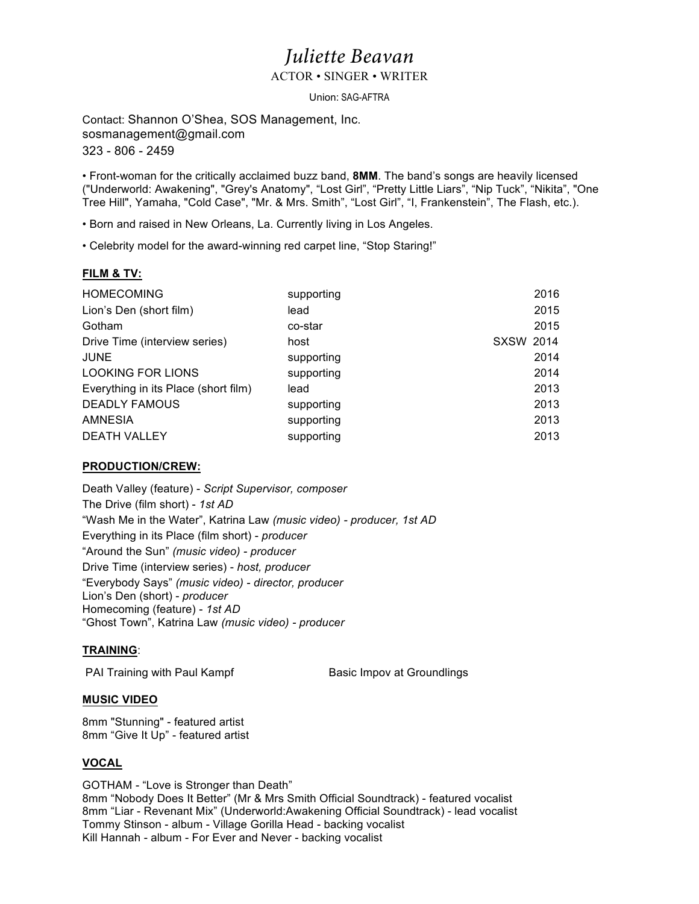# *Juliette Beavan*

ACTOR • SINGER • WRITER

Union: SAG-AFTRA

Contact: Shannon O'Shea, SOS Management, Inc. sosmanagement@gmail.com 323 - 806 - 2459

• Front-woman for the critically acclaimed buzz band, **8MM**. The band's songs are heavily licensed ("Underworld: Awakening", "Grey's Anatomy", "Lost Girl", "Pretty Little Liars", "Nip Tuck", "Nikita", "One Tree Hill", Yamaha, "Cold Case", "Mr. & Mrs. Smith", "Lost Girl", "I, Frankenstein", The Flash, etc.).

• Born and raised in New Orleans, La. Currently living in Los Angeles.

• Celebrity model for the award-winning red carpet line, "Stop Staring!"

## **FILM & TV:**

| <b>HOMECOMING</b>                    | supporting |                  | 2016 |
|--------------------------------------|------------|------------------|------|
| Lion's Den (short film)              | lead       |                  | 2015 |
| Gotham                               | co-star    |                  | 2015 |
| Drive Time (interview series)        | host       | <b>SXSW 2014</b> |      |
| <b>JUNE</b>                          | supporting |                  | 2014 |
| <b>LOOKING FOR LIONS</b>             | supporting |                  | 2014 |
| Everything in its Place (short film) | lead       |                  | 2013 |
| <b>DEADLY FAMOUS</b>                 | supporting |                  | 2013 |
| <b>AMNESIA</b>                       | supporting |                  | 2013 |
| <b>DEATH VALLEY</b>                  | supporting |                  | 2013 |

### **PRODUCTION/CREW:**

Death Valley (feature) - *Script Supervisor, composer* The Drive (film short) - *1st AD* "Wash Me in the Water", Katrina Law *(music video) - producer, 1st AD* Everything in its Place (film short) - *producer* "Around the Sun" *(music video) - producer* Drive Time (interview series) - *host, producer* "Everybody Says" *(music video) - director, producer* Lion's Den (short) - *producer* Homecoming (feature) - *1st AD* "Ghost Town", Katrina Law *(music video) - producer*

## **TRAINING**:

PAI Training with Paul Kampf Basic Impov at Groundlings

## **MUSIC VIDEO**

8mm "Stunning" - featured artist 8mm "Give It Up" - featured artist

## **VOCAL**

GOTHAM - "Love is Stronger than Death" 8mm "Nobody Does It Better" (Mr & Mrs Smith Official Soundtrack) - featured vocalist 8mm "Liar - Revenant Mix" (Underworld:Awakening Official Soundtrack) - lead vocalist Tommy Stinson - album - Village Gorilla Head - backing vocalist Kill Hannah - album - For Ever and Never - backing vocalist